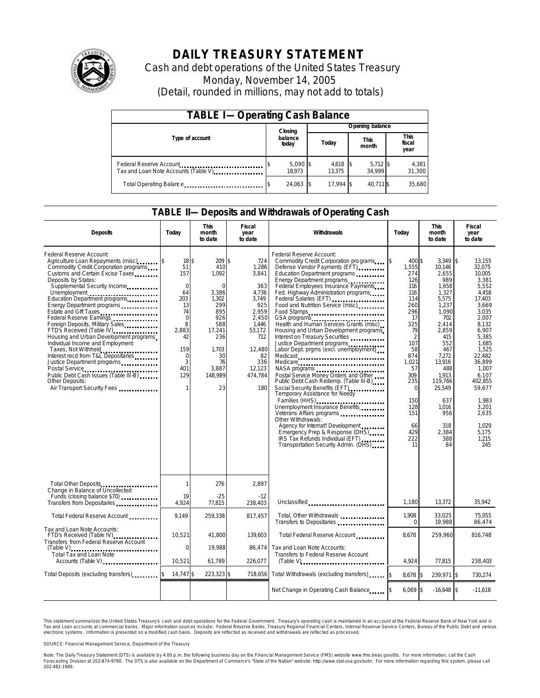

## **DAILY TREASURY STATEMENT**

Cash and debt operations of the United States Treasury Monday, November 14, 2005 (Detail, rounded in millions, may not add to totals)

| <b>TABLE I-Operating Cash Balance</b>                            |  |                      |  |                      |  |                      |  |                        |  |
|------------------------------------------------------------------|--|----------------------|--|----------------------|--|----------------------|--|------------------------|--|
|                                                                  |  | Closing              |  | Opening balance      |  |                      |  |                        |  |
| Type of account                                                  |  | balance<br>today     |  | Today                |  | <b>This</b><br>month |  | This<br>fiscal<br>year |  |
| Federal Reserve Account<br>Tax and Loan Note Accounts (Table V). |  | $5,090$ \$<br>18.973 |  | $4,618$ \$<br>13.375 |  | $5,712$ \$<br>34.999 |  | 4,381<br>31,300        |  |
| Total Operating Balance                                          |  | 24,063 \$            |  | 17.994 \$            |  | 40.711 \$            |  | 35,680                 |  |

#### **TABLE II—Deposits and Withdrawals of Operating Cash**

| <b>Deposits</b>                                                                                                                                                                                                                                                                                                                                                                                                                                                                                                                                                                                                                                                               | Today                                                                                                                                                 | <b>This</b><br>month<br>to date                                                                                                                  | <b>Fiscal</b><br>year<br>to date                                                                                                                     | Withdrawals                                                                                                                                                                                                                                                                                                                                                                                                                                                                                                                                                                                                                                                                                                                                                                                                                                                                                                                                                                         | Today                                                                                                                                                                                                                    | <b>This</b><br>month<br>to date                                                                                                                                                                                                        | <b>Fiscal</b><br>year<br>to date                                                                                                                                                                                                                                                           |
|-------------------------------------------------------------------------------------------------------------------------------------------------------------------------------------------------------------------------------------------------------------------------------------------------------------------------------------------------------------------------------------------------------------------------------------------------------------------------------------------------------------------------------------------------------------------------------------------------------------------------------------------------------------------------------|-------------------------------------------------------------------------------------------------------------------------------------------------------|--------------------------------------------------------------------------------------------------------------------------------------------------|------------------------------------------------------------------------------------------------------------------------------------------------------|-------------------------------------------------------------------------------------------------------------------------------------------------------------------------------------------------------------------------------------------------------------------------------------------------------------------------------------------------------------------------------------------------------------------------------------------------------------------------------------------------------------------------------------------------------------------------------------------------------------------------------------------------------------------------------------------------------------------------------------------------------------------------------------------------------------------------------------------------------------------------------------------------------------------------------------------------------------------------------------|--------------------------------------------------------------------------------------------------------------------------------------------------------------------------------------------------------------------------|----------------------------------------------------------------------------------------------------------------------------------------------------------------------------------------------------------------------------------------|--------------------------------------------------------------------------------------------------------------------------------------------------------------------------------------------------------------------------------------------------------------------------------------------|
| Federal Reserve Account:<br>Agriculture Loan Repayments (misc)<br>Commodity Credit Corporation programs<br>Customs and Certain Excise Taxes<br>Deposits by States:<br>Supplemental Security Income<br>Unemployment<br>Education Department programs<br>Energy Department programs<br>Estate and Gift Taxes<br>Federal Reserve Earnings<br>Foreign Deposits, Military Sales<br>FTD's Received (Table IV)<br>Housing and Urban Development programs<br>Individual Income and Employment<br>Taxes, Not Withheld<br>Interest recd from T&L Depositaries<br>Justice Department programs<br>Public Debt Cash Issues (Table III-B)<br>Other Deposits:<br>Air Transport Security Fees | 18 <sup>5</sup><br>51<br>157<br>$\mathbf 0$<br>64<br>203<br>13<br>74<br>$\mathbf 0$<br>8<br>2.883<br>42<br>159<br>$\mathbf 0$<br>3<br>401<br>129<br>1 | 209 \$<br>410<br>1,092<br>$\Omega$<br>3,386<br>1,302<br>299<br>895<br>926<br>588<br>17.241<br>236<br>1,703<br>30<br>76<br>3.887<br>148,989<br>23 | 724<br>1,286<br>3,841<br>363<br>4,736<br>3,749<br>925<br>2,959<br>2.450<br>1.446<br>53.172<br>712<br>12,480<br>82<br>336<br>12,123<br>474,784<br>180 | Federal Reserve Account:<br>Commodity Credit Corporation programs<br>Defense Vendor Payments (EFT)<br>Education Department programs<br>Energy Department programs<br>Federal Employees Insurance Payments<br>Fed. Highway Administration programs<br>Federal Salaries (EFT)<br>Food and Nutrition Service (misc)<br>Food Stamps<br>GSA programs<br>Health and Human Services Grants (misc)<br>Housing and Urban Development programs<br>Interest on Treasury Securities<br>Justice Department programs<br>Labor Dept. prgms (excl. unemployment)<br>Medicaid<br>Medicare<br>NASA programs<br>Postal Service Money Orders and Other<br>Public Debt Cash Redemp. (Table III-B)<br>Social Security Benefits (EFT)<br><br>Temporary Assistance for Needy<br>Families (HHS)<br>Unemployment Insurance Benefits<br>Other Withdrawals:<br>Agency for Internat'l Development<br>Emergency Prep & Response (DHS)<br>IRS Tax Refunds Individual (EFT)<br>Transportation Security Admin. (DHS) | \$<br>400 \$<br>1,555<br>274<br>126<br>116<br>116<br>114<br>260<br>296<br>-17<br>325<br>79<br>$\overline{2}$<br>107<br>58<br>874<br>1.021<br>57<br>309<br>235<br>$\Omega$<br>150<br>128<br>151<br>66<br>429<br>222<br>11 | 3,349<br>10,146<br>2.655<br>989<br>1,658<br>1,327<br>5,575<br>1,237<br>1.090<br>702<br>2.414<br>2.859<br>415<br>552<br>467<br>7,272<br>13.916<br>488<br>1.913<br>119.766<br>25,549<br>637<br>1,016<br>956<br>318<br>2,384<br>388<br>84 | $\overline{\mathbf{3}}$<br>13,155<br>32,075<br>10.005<br>3,381<br>5.552<br>4.458<br>17,403<br>3,669<br>3.035<br>2.007<br>8,132<br>6.907<br>5.385<br>1,685<br>1,525<br>22.482<br>36.899<br>1.007<br>6.107<br>402.855<br>59,677<br>1,983<br>3,201<br>2.635<br>1.029<br>5.175<br>1,215<br>245 |
| Total Other Deposits<br>Change in Balance of Uncollected<br>Funds (closing balance \$70)                                                                                                                                                                                                                                                                                                                                                                                                                                                                                                                                                                                      | 1<br>19                                                                                                                                               | 276<br>$-25$                                                                                                                                     | 2,897<br>$-12$                                                                                                                                       |                                                                                                                                                                                                                                                                                                                                                                                                                                                                                                                                                                                                                                                                                                                                                                                                                                                                                                                                                                                     |                                                                                                                                                                                                                          |                                                                                                                                                                                                                                        |                                                                                                                                                                                                                                                                                            |
| Transfers from Depositaries                                                                                                                                                                                                                                                                                                                                                                                                                                                                                                                                                                                                                                                   | 4,924                                                                                                                                                 | 77,815                                                                                                                                           | 238.403                                                                                                                                              | Unclassified                                                                                                                                                                                                                                                                                                                                                                                                                                                                                                                                                                                                                                                                                                                                                                                                                                                                                                                                                                        | 1,180                                                                                                                                                                                                                    | 13,372                                                                                                                                                                                                                                 | 35,942                                                                                                                                                                                                                                                                                     |
| Total Federal Reserve Account                                                                                                                                                                                                                                                                                                                                                                                                                                                                                                                                                                                                                                                 | 9.149                                                                                                                                                 | 259,338                                                                                                                                          | 817.457                                                                                                                                              | Total, Other Withdrawals<br>Transfers to Depositaries                                                                                                                                                                                                                                                                                                                                                                                                                                                                                                                                                                                                                                                                                                                                                                                                                                                                                                                               | 1.908<br>$\Omega$                                                                                                                                                                                                        | 33.025<br>19,988                                                                                                                                                                                                                       | 75.055<br>86,474                                                                                                                                                                                                                                                                           |
| Tax and Loan Note Accounts:<br>FTD's Received (Table IV)<br>Transfers from Federal Reserve Account                                                                                                                                                                                                                                                                                                                                                                                                                                                                                                                                                                            | 10,521                                                                                                                                                | 41,800                                                                                                                                           | 139,603                                                                                                                                              | Total Federal Reserve Account                                                                                                                                                                                                                                                                                                                                                                                                                                                                                                                                                                                                                                                                                                                                                                                                                                                                                                                                                       | 8,678                                                                                                                                                                                                                    | 259,960                                                                                                                                                                                                                                | 816,748                                                                                                                                                                                                                                                                                    |
| <b>Total Tax and Loan Note</b><br>Accounts (Table V)                                                                                                                                                                                                                                                                                                                                                                                                                                                                                                                                                                                                                          | $\mathbf 0$<br>10,521                                                                                                                                 | 19,988<br>61.789                                                                                                                                 | 86.474<br>226,077                                                                                                                                    | Tax and Loan Note Accounts:<br>Transfers to Federal Reserve Account                                                                                                                                                                                                                                                                                                                                                                                                                                                                                                                                                                                                                                                                                                                                                                                                                                                                                                                 | 4.924                                                                                                                                                                                                                    | 77.815                                                                                                                                                                                                                                 | 238,403                                                                                                                                                                                                                                                                                    |
| Total Deposits (excluding transfers)                                                                                                                                                                                                                                                                                                                                                                                                                                                                                                                                                                                                                                          | 14,747 \$                                                                                                                                             | 223,323 \$                                                                                                                                       | 718,656                                                                                                                                              | Total Withdrawals (excluding transfers)                                                                                                                                                                                                                                                                                                                                                                                                                                                                                                                                                                                                                                                                                                                                                                                                                                                                                                                                             | 8.678 \$                                                                                                                                                                                                                 | 239,971 \$                                                                                                                                                                                                                             | 730,274                                                                                                                                                                                                                                                                                    |
|                                                                                                                                                                                                                                                                                                                                                                                                                                                                                                                                                                                                                                                                               |                                                                                                                                                       |                                                                                                                                                  |                                                                                                                                                      | Net Change in Operating Cash Balance                                                                                                                                                                                                                                                                                                                                                                                                                                                                                                                                                                                                                                                                                                                                                                                                                                                                                                                                                | $6.069$ \$                                                                                                                                                                                                               | $-16.648$ \$                                                                                                                                                                                                                           | $-11.618$                                                                                                                                                                                                                                                                                  |

This statement summarizes the United States Treasury's cash and debt operations for the Federal Government. Treasury's operating cash is maintained in an account at the Federal Reserve Bank of New York and in Tax and Loan accounts at commercial banks. Major information sources include: Federal Reserve Banks, Treasury Regional Financial Centers, Internal Revenue Service Centers, Bureau of the Public Debt and various<br>electronic s

SOURCE: Financial Management Service, Department of the Treasury

Note: The Daily Treasury Statement (DTS) is available by 4:00 p.m. the following business day on the Financial Management Service (FMS) website www.fms.treas.gov/dts. For more information, call the Cash<br>Forecasting Divisio 'S) is available by 4:00 p.m. the following business day on the Financial Management Service (FMS) website www.fms.treas.gov/dts. For more information, call the Cash<br>The DTS is also available on the Department of Commerce'